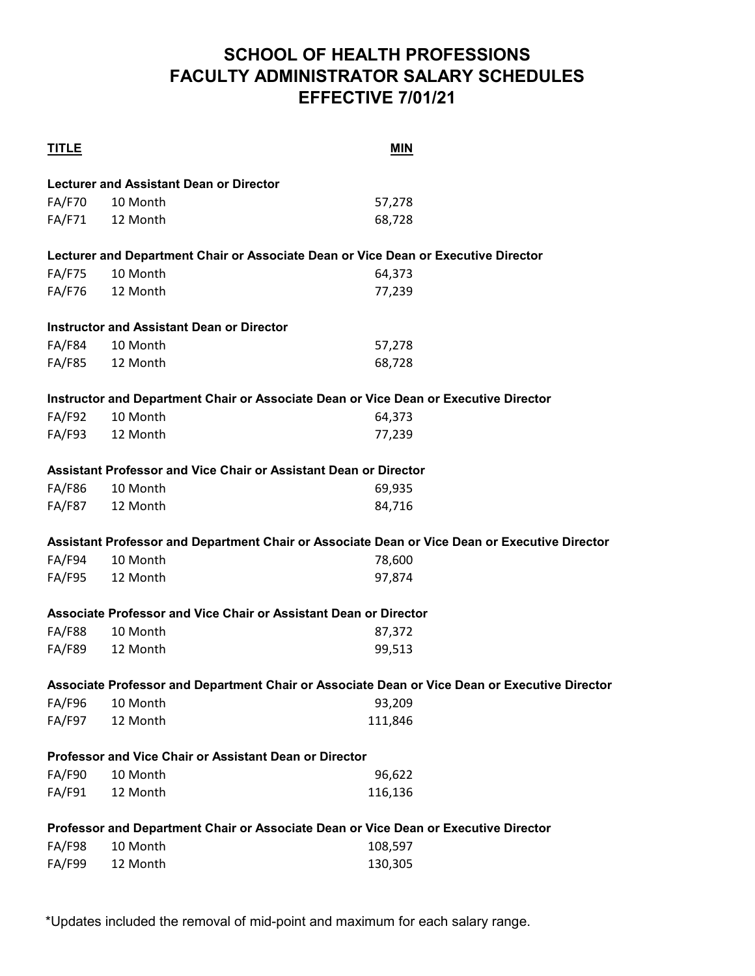## **SCHOOL OF HEALTH PROFESSIONS FACULTY ADMINISTRATOR SALARY SCHEDULES EFFECTIVE 7/01/21**

| <b>TITLE</b>  |                                                  | <b>MIN</b>                                                                                    |
|---------------|--------------------------------------------------|-----------------------------------------------------------------------------------------------|
|               | <b>Lecturer and Assistant Dean or Director</b>   |                                                                                               |
| <b>FA/F70</b> | 10 Month                                         | 57,278                                                                                        |
|               | FA/F71 12 Month                                  | 68,728                                                                                        |
|               |                                                  | Lecturer and Department Chair or Associate Dean or Vice Dean or Executive Director            |
| <b>FA/F75</b> | 10 Month                                         | 64,373                                                                                        |
| <b>FA/F76</b> | 12 Month                                         | 77,239                                                                                        |
|               | <b>Instructor and Assistant Dean or Director</b> |                                                                                               |
| <b>FA/F84</b> | 10 Month                                         | 57,278                                                                                        |
| <b>FA/F85</b> | 12 Month                                         | 68,728                                                                                        |
|               |                                                  | Instructor and Department Chair or Associate Dean or Vice Dean or Executive Director          |
| <b>FA/F92</b> | 10 Month                                         | 64,373                                                                                        |
| <b>FA/F93</b> | 12 Month                                         | 77,239                                                                                        |
|               |                                                  | Assistant Professor and Vice Chair or Assistant Dean or Director                              |
| <b>FA/F86</b> | 10 Month                                         | 69,935                                                                                        |
| FA/F87        | 12 Month                                         | 84,716                                                                                        |
|               |                                                  | Assistant Professor and Department Chair or Associate Dean or Vice Dean or Executive Director |
| FA/F94        | 10 Month                                         | 78,600                                                                                        |
| <b>FA/F95</b> | 12 Month                                         | 97,874                                                                                        |
|               |                                                  | Associate Professor and Vice Chair or Assistant Dean or Director                              |
| <b>FA/F88</b> | 10 Month                                         | 87,372                                                                                        |
| <b>FA/F89</b> | 12 Month                                         | 99,513                                                                                        |
|               |                                                  | Associate Professor and Department Chair or Associate Dean or Vice Dean or Executive Director |
| <b>FA/F96</b> | 10 Month                                         | 93,209                                                                                        |
| <b>FA/F97</b> | 12 Month                                         | 111,846                                                                                       |
|               |                                                  | Professor and Vice Chair or Assistant Dean or Director                                        |
| <b>FA/F90</b> | 10 Month                                         | 96,622                                                                                        |
| FA/F91        | 12 Month                                         | 116,136                                                                                       |
|               |                                                  | Professor and Department Chair or Associate Dean or Vice Dean or Executive Director           |
| <b>FA/F98</b> | 10 Month                                         | 108,597                                                                                       |
| <b>FA/F99</b> | 12 Month                                         | 130,305                                                                                       |

\*Updates included the removal of mid-point and maximum for each salary range.